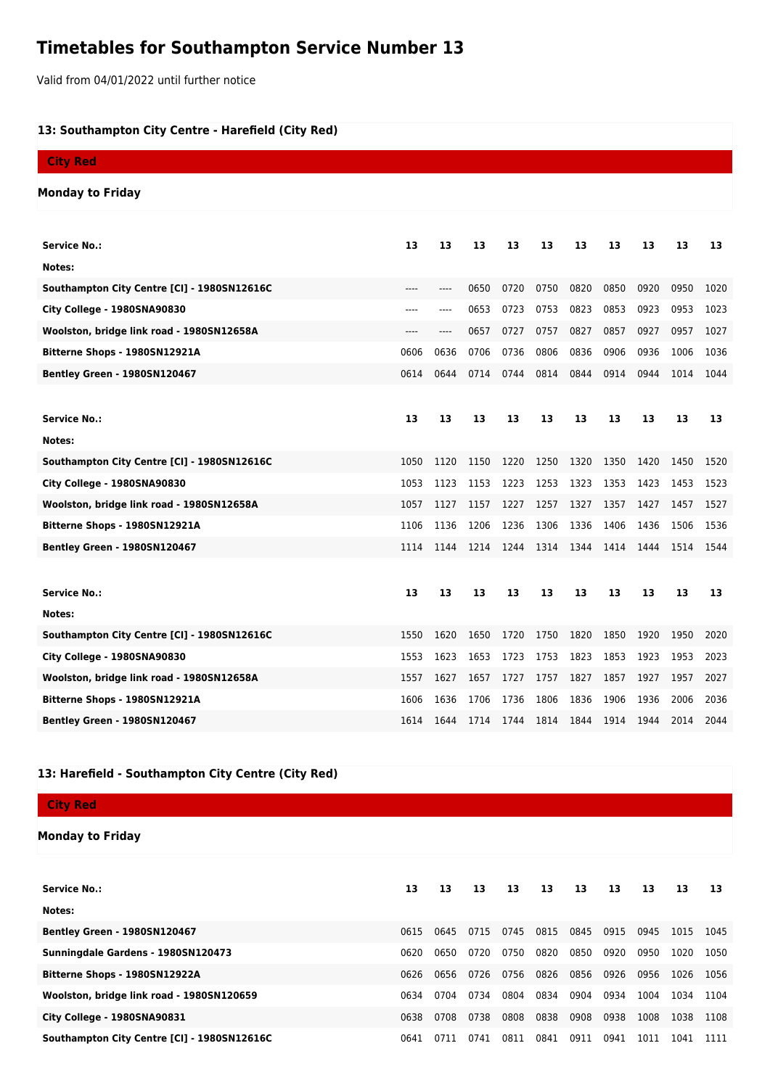## **Timetables for Southampton Service Number 13**

Valid from 04/01/2022 until further notice

## **13: Southampton City Centre - Harefield (City Red)**

| <b>City Red</b>                             |      |                               |      |      |      |      |      |      |      |      |
|---------------------------------------------|------|-------------------------------|------|------|------|------|------|------|------|------|
| <b>Monday to Friday</b>                     |      |                               |      |      |      |      |      |      |      |      |
|                                             |      |                               |      |      |      |      |      |      |      |      |
| <b>Service No.:</b>                         | 13   | 13                            | 13   | 13   | 13   | 13   | 13   | 13   | 13   | 13   |
| Notes:                                      |      |                               |      |      |      |      |      |      |      |      |
| Southampton City Centre [CI] - 1980SN12616C | ---- | $\hspace{1.5cm} \textbf{---}$ | 0650 | 0720 | 0750 | 0820 | 0850 | 0920 | 0950 | 1020 |
| City College - 1980SNA90830                 | ---- | ----                          | 0653 | 0723 | 0753 | 0823 | 0853 | 0923 | 0953 | 1023 |
| Woolston, bridge link road - 1980SN12658A   |      | ----                          | 0657 | 0727 | 0757 | 0827 | 0857 | 0927 | 0957 | 1027 |
| Bitterne Shops - 1980SN12921A               | 0606 | 0636                          | 0706 | 0736 | 0806 | 0836 | 0906 | 0936 | 1006 | 1036 |
| <b>Bentley Green - 1980SN120467</b>         | 0614 | 0644                          | 0714 | 0744 | 0814 | 0844 | 0914 | 0944 | 1014 | 1044 |
|                                             |      |                               |      |      |      |      |      |      |      |      |
| <b>Service No.:</b>                         | 13   | 13                            | 13   | 13   | 13   | 13   | 13   | 13   | 13   | 13   |
| Notes:                                      |      |                               |      |      |      |      |      |      |      |      |
| Southampton City Centre [CI] - 1980SN12616C | 1050 | 1120                          | 1150 | 1220 | 1250 | 1320 | 1350 | 1420 | 1450 | 1520 |
| City College - 1980SNA90830                 | 1053 | 1123                          | 1153 | 1223 | 1253 | 1323 | 1353 | 1423 | 1453 | 1523 |
| Woolston, bridge link road - 1980SN12658A   | 1057 | 1127                          | 1157 | 1227 | 1257 | 1327 | 1357 | 1427 | 1457 | 1527 |
| Bitterne Shops - 1980SN12921A               | 1106 | 1136                          | 1206 | 1236 | 1306 | 1336 | 1406 | 1436 | 1506 | 1536 |
| <b>Bentley Green - 1980SN120467</b>         | 1114 | 1144                          | 1214 | 1244 | 1314 | 1344 | 1414 | 1444 | 1514 | 1544 |
|                                             |      |                               |      |      |      |      |      |      |      |      |
| <b>Service No.:</b>                         | 13   | 13                            | 13   | 13   | 13   | 13   | 13   | 13   | 13   | 13   |
| Notes:                                      |      |                               |      |      |      |      |      |      |      |      |
| Southampton City Centre [CI] - 1980SN12616C | 1550 | 1620                          | 1650 | 1720 | 1750 | 1820 | 1850 | 1920 | 1950 | 2020 |
| City College - 1980SNA90830                 | 1553 | 1623                          | 1653 | 1723 | 1753 | 1823 | 1853 | 1923 | 1953 | 2023 |
| Woolston, bridge link road - 1980SN12658A   | 1557 | 1627                          | 1657 | 1727 | 1757 | 1827 | 1857 | 1927 | 1957 | 2027 |
| Bitterne Shops - 1980SN12921A               | 1606 | 1636                          | 1706 | 1736 | 1806 | 1836 | 1906 | 1936 | 2006 | 2036 |
| <b>Bentley Green - 1980SN120467</b>         | 1614 | 1644                          | 1714 | 1744 | 1814 | 1844 | 1914 | 1944 | 2014 | 2044 |

## **13: Harefield - Southampton City Centre (City Red)**

**City Red**

**Monday to Friday**

| <b>Service No.:</b>                         | 13   | 13   | 13   | 13   | 13   | 13   | 13   | 13   | 13   | 13   |
|---------------------------------------------|------|------|------|------|------|------|------|------|------|------|
| Notes:                                      |      |      |      |      |      |      |      |      |      |      |
| Bentley Green - 1980SN120467                | 0615 | 0645 | 0715 | 0745 | 0815 | 0845 | 0915 | 0945 | 1015 | 1045 |
| Sunningdale Gardens - 1980SN120473          | 0620 | 0650 | 0720 | 0750 | 0820 | 0850 | 0920 | 0950 | 1020 | 1050 |
| Bitterne Shops - 1980SN12922A               | 0626 | 0656 | 0726 | 0756 | 0826 | 0856 | 0926 | 0956 | 1026 | 1056 |
| Woolston, bridge link road - 1980SN120659   | 0634 | 0704 | 0734 | 0804 | 0834 | 0904 | 0934 | 1004 | 1034 | 1104 |
| City College - 1980SNA90831                 | 0638 | 0708 | 0738 | 0808 | 0838 | 0908 | 0938 | 1008 | 1038 | 1108 |
| Southampton City Centre [CI] - 1980SN12616C | 0641 | 0711 | 0741 | 0811 | 0841 | 0911 | 0941 | 1011 | 1041 | 1111 |